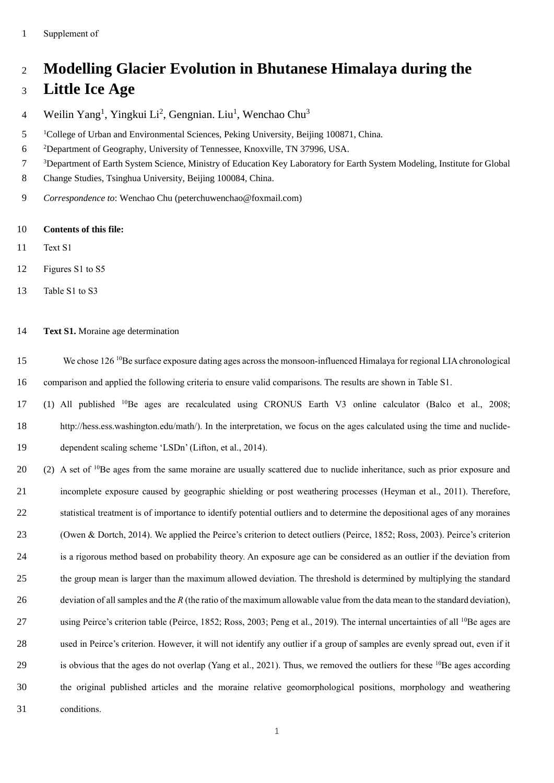## **Modelling Glacier Evolution in Bhutanese Himalaya during the**

## **Little Ice Age**

- Weilin Yang<sup>1</sup>, Yingkui Li<sup>2</sup>, Gengnian. Liu<sup>1</sup>, Wenchao Chu<sup>3</sup>
- <sup>1</sup> College of Urban and Environmental Sciences, Peking University, Beijing 100871, China.
- Department of Geography, University of Tennessee, Knoxville, TN 37996, USA.
- Department of Earth System Science, Ministry of Education Key Laboratory for Earth System Modeling, Institute for Global
- Change Studies, Tsinghua University, Beijing 100084, China.
- *Correspondence to*: Wenchao Chu (peterchuwenchao@foxmail.com)
- **Contents of this file:**
- Text S1
- Figures S1 to S5
- Table S1 to S3
- **Text S1.** Moraine age determination
- 15 We chose 126 <sup>10</sup>Be surface exposure dating ages across the monsoon-influenced Himalaya for regional LIA chronological comparison and applied the following criteria to ensure valid comparisons. The results are shown in Table S1.
- 17 (1) All published <sup>10</sup> Be ages are recalculated using CRONUS Earth V3 online calculator (Balco et al., 2008; [http://hess.ess.washington.edu/math/\)](http://hess.ess.washington.edu/math/). In the interpretation, we focus on the ages calculated using the time and nuclide-dependent scaling scheme 'LSDn' (Lifton, et al., 2014).
- (2) A set of Be ages from the same moraine are usually scattered due to nuclide inheritance, such as prior exposure and incomplete exposure caused by geographic shielding or post weathering processes (Heyman et al., 2011). Therefore, statistical treatment is of importance to identify potential outliers and to determine the depositional ages of any moraines (Owen & Dortch, 2014). We applied the Peirce's criterion to detect outliers (Peirce, 1852; Ross, 2003). Peirce's criterion is a rigorous method based on probability theory. An exposure age can be considered as an outlier if the deviation from the group mean is larger than the maximum allowed deviation. The threshold is determined by multiplying the standard deviation of all samples and the *R* (the ratio of the maximum allowable value from the data mean to the standard deviation), 27 using Peirce's criterion table (Peirce, 1852; Ross, 2003; Peng et al., 2019). The internal uncertainties of all <sup>10</sup>Be ages are used in Peirce's criterion. However, it will not identify any outlier if a group of samples are evenly spread out, even if it 29 is obvious that the ages do not overlap (Yang et al., 2021). Thus, we removed the outliers for these  $10Be$  ages according the original published articles and the moraine relative geomorphological positions, morphology and weathering conditions.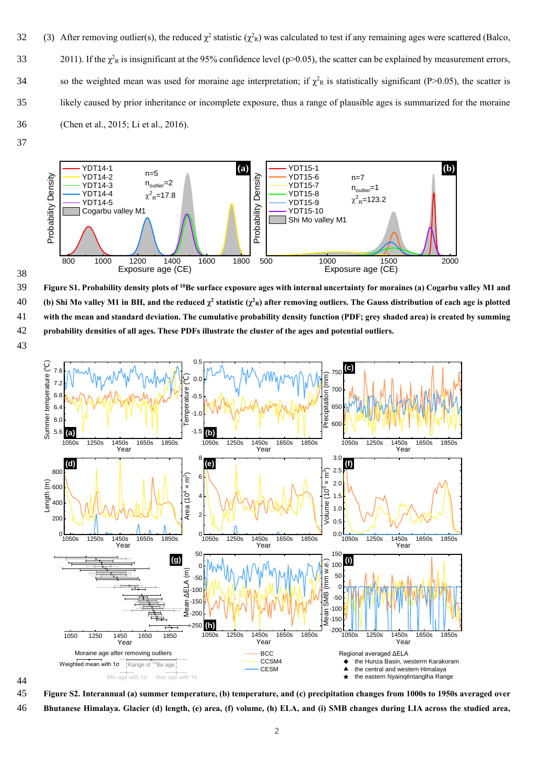- 32 (3) After removing outlier(s), the reduced  $\chi^2$  statistic ( $\chi^2$ <sub>R</sub>) was calculated to test if any remaining ages were scattered (Balco, 2011). If the  $\chi^2$ <sub>R</sub> is insignificant at the 95% confidence level (p>0.05), the scatter can be explained by measurement errors, 34 so the weighted mean was used for moraine age interpretation; if  $\chi^2$ <sub>R</sub> is statistically significant (P>0.05), the scatter is 35 likely caused by prior inheritance or incomplete exposure, thus a range of plausible ages is summarized for the moraine 36 (Chen et al., 2015; Li et al., 2016).
- 37



38

43

**Figure S1. Probability density plots of** 39 **<sup>10</sup>Be surface exposure ages with internal uncertainty for moraines (a) Cogarbu valley M1 and 40** (b) Shi Mo valley M1 in BH, and the reduced  $\chi^2$  statistic ( $\chi^2$ R) after removing outliers. The Gauss distribution of each age is plotted 41 **with the mean and standard deviation. The cumulative probability density function (PDF; grey shaded area) is created by summing**  42 **probability densities of all ages. These PDFs illustrate the cluster of the ages and potential outliers.**



44

45 **Figure S2. Interannual (a) summer temperature, (b) temperature, and (c) precipitation changes from 1000s to 1950s averaged over** 

46 **Bhutanese Himalaya. Glacier (d) length, (e) area, (f) volume, (h) ELA, and (i) SMB changes during LIA across the studied area,**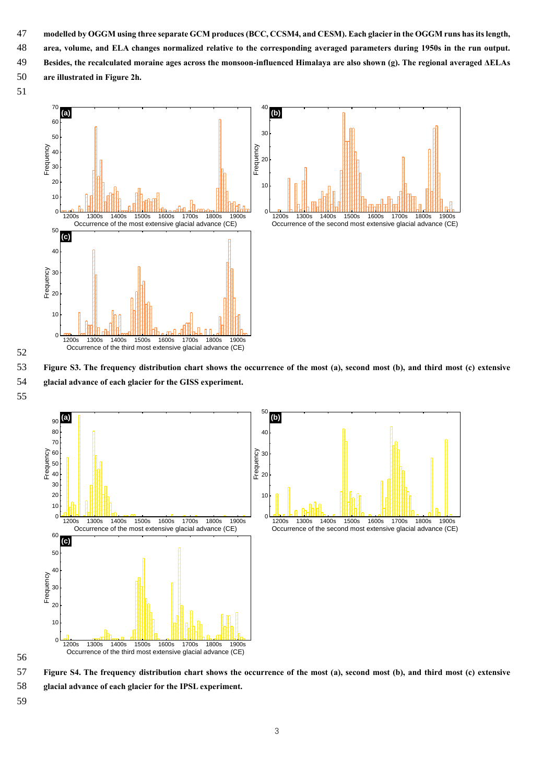- **modelled by OGGM using three separate GCM produces (BCC, CCSM4, and CESM). Each glacier in the OGGM runs has its length,**
- **area, volume, and ELA changes normalized relative to the corresponding averaged parameters during 1950s in the run output.**
- **Besides, the recalculated moraine ages across the monsoon-influenced Himalaya are also shown (g). The regional averaged ΔELAs are illustrated in Figure 2h.**
- 



 **Figure S3. The frequency distribution chart shows the occurrence of the most (a), second most (b), and third most (c) extensive glacial advance of each glacier for the GISS experiment.**



 **Figure S4. The frequency distribution chart shows the occurrence of the most (a), second most (b), and third most (c) extensive glacial advance of each glacier for the IPSL experiment.**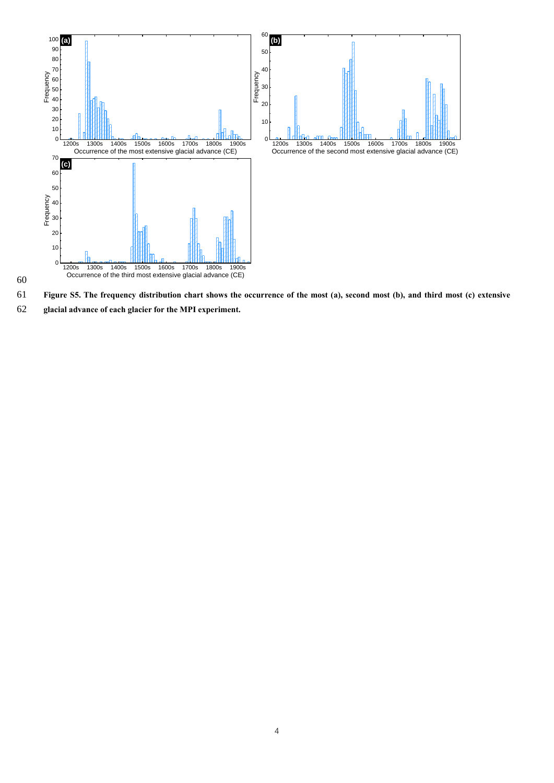

**Figure S5. The frequency distribution chart shows the occurrence of the most (a), second most (b), and third most (c) extensive** 

**glacial advance of each glacier for the MPI experiment.**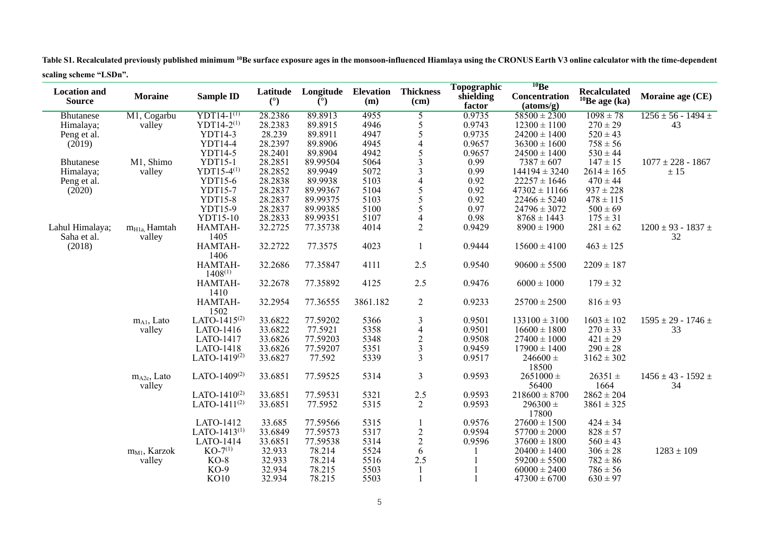**Table S1. Recalculated previously published minimum <sup>10</sup>Be surface exposure ages in the monsoon-influenced Hiamlaya using the CRONUS Earth V3 online calculator with the time-dependent scaling scheme "LSDn".**

| <b>Location and</b><br><b>Source</b> | <b>Moraine</b>               | <b>Sample ID</b>         | Latitude<br>(°) | Longitude<br>$(^\circ)$ | <b>Elevation</b><br>(m) | <b>Thickness</b><br>$(cm)$ | Topographic<br>shielding<br>factor | 10Be<br><b>Concentration</b><br>(atoms/g) | <b>Recalculated</b><br>$10$ Be age (ka) | Moraine age (CE)                 |
|--------------------------------------|------------------------------|--------------------------|-----------------|-------------------------|-------------------------|----------------------------|------------------------------------|-------------------------------------------|-----------------------------------------|----------------------------------|
| <b>Bhutanese</b>                     | M1, Cogarbu                  | $YDT14-1^{(1)}$          | 28.2386         | 89.8913                 | 4955                    |                            | 0.9735                             | $58500 \pm 2300$                          | $1098 \pm 78$                           | $1256 \pm 56 - 1494 \pm$         |
| Himalaya;                            | valley                       | YDT14-2 $(1)$            | 28.2383         | 89.8915                 | 4946                    | $rac{5}{5}$                | 0.9743                             | $12300 \pm 1100$                          | $270 \pm 29$                            | 43                               |
| Peng et al.                          |                              | YDT14-3                  | 28.239          | 89.8911                 | 4947                    | 5                          | 0.9735                             | $24200 \pm 1400$                          | $520 \pm 43$                            |                                  |
| (2019)                               |                              | YDT14-4                  | 28.2397         | 89.8906                 | 4945                    | 4                          | 0.9657                             | $36300 \pm 1600$                          | $758 \pm 56$                            |                                  |
|                                      |                              | YDT14-5                  | 28.2401         | 89.8904                 | 4942                    | 5                          | 0.9657                             | $24500 \pm 1400$                          | $530 \pm 44$                            |                                  |
| <b>Bhutanese</b>                     | M1, Shimo                    | YDT15-1                  | 28.2851         | 89.99504                | 5064                    | 3                          | 0.99                               | $7387 \pm 607$                            | $147 \pm 15$                            | $1077 \pm 228 - 1867$            |
| Himalaya;                            | valley                       | YDT15-4 $(1)$            | 28.2852         | 89.9949                 | 5072                    | 3                          | 0.99                               | $144194 \pm 3240$                         | $2614 \pm 165$                          | ± 15                             |
| Peng et al.                          |                              | YDT15-6                  | 28.2838         | 89.9938                 | 5103                    | $\overline{4}$             | 0.92                               | $22257 \pm 1646$                          | $470 \pm 44$                            |                                  |
| (2020)                               |                              | YDT15-7                  | 28.2837         | 89.99367                | 5104                    | 5                          | 0.92                               | $47302 \pm 11166$                         | $937 \pm 228$                           |                                  |
|                                      |                              | YDT15-8                  | 28.2837         | 89.99375                | 5103                    | 5                          | 0.92                               | $22466 \pm 5240$                          | $478 \pm 115$                           |                                  |
|                                      |                              | YDT15-9                  | 28.2837         | 89.99385                | 5100                    | 5                          | 0.97                               | $24796 \pm 3072$                          | $500 \pm 69$                            |                                  |
|                                      |                              | YDT15-10                 | 28.2833         | 89.99351                | 5107                    | $\overline{\mathcal{A}}$   | 0.98                               | $8768 \pm 1443$                           | $175 \pm 31$                            |                                  |
| Lahul Himalaya;<br>Saha et al.       | $m_{H1a}$ . Hamtah<br>valley | HAMTAH-<br>1405          | 32.2725         | 77.35738                | 4014                    | $\overline{2}$             | 0.9429                             | $8900 \pm 1900$                           | $281 \pm 62$                            | $1200\pm93$ - $1837\pm$<br>32    |
| (2018)                               |                              | HAMTAH-<br>1406          | 32.2722         | 77.3575                 | 4023                    | 1                          | 0.9444                             | $15600 \pm 4100$                          | $463 \pm 125$                           |                                  |
|                                      |                              | HAMTAH-<br>$1408^{(1)}$  | 32.2686         | 77.35847                | 4111                    | 2.5                        | 0.9540                             | $90600 \pm 5500$                          | $2209 \pm 187$                          |                                  |
|                                      |                              | HAMTAH-<br>1410          | 32.2678         | 77.35892                | 4125                    | 2.5                        | 0.9476                             | $6000 \pm 1000$                           | $179 \pm 32$                            |                                  |
|                                      |                              | HAMTAH-<br>1502          | 32.2954         | 77.36555                | 3861.182                | $\overline{2}$             | 0.9233                             | $25700 \pm 2500$                          | $816 \pm 93$                            |                                  |
|                                      | $m_{A1}$ , Lato              | LATO-1415 <sup>(2)</sup> | 33.6822         | 77.59202                | 5366                    | 3                          | 0.9501                             | $133100 \pm 3100$                         | $1603 \pm 102$                          | $1595 \pm 29 - 1746 \pm$         |
|                                      | valley                       | LATO-1416                | 33.6822         | 77.5921                 | 5358                    | $\overline{\mathbf{4}}$    | 0.9501                             | $16600 \pm 1800$                          | $270 \pm 33$                            | 33                               |
|                                      |                              | <b>LATO-1417</b>         | 33.6826         | 77.59203                | 5348                    |                            | 0.9508                             | $27400 \pm 1000$                          | $421 \pm 29$                            |                                  |
|                                      |                              | LATO-1418                | 33.6826         | 77.59207                | 5351                    | $\frac{2}{3}$              | 0.9459                             | $17900 \pm 1400$                          | $290 \pm 28$                            |                                  |
|                                      |                              | LATO-1419 $(2)$          | 33.6827         | 77.592                  | 5339                    | $\overline{3}$             | 0.9517                             | $246600 \pm$<br>18500                     | $3162 \pm 302$                          |                                  |
|                                      | $m_{A2c}$ , Lato<br>valley   | LATO-1409 $(2)$          | 33.6851         | 77.59525                | 5314                    | 3                          | 0.9593                             | $2651000 \pm$<br>56400                    | $26351 \pm$<br>1664                     | $1456 \pm 43$ - $1592 \pm$<br>34 |
|                                      |                              | LATO-1410 $(2)$          | 33.6851         | 77.59531                | 5321                    | 2.5                        | 0.9593                             | $218600 \pm 8700$                         | $2862 \pm 204$                          |                                  |
|                                      |                              | LATO-1411 $(2)$          | 33.6851         | 77.5952                 | 5315                    | $\overline{2}$             | 0.9593                             | $296300 \pm$<br>17800                     | $3861 \pm 325$                          |                                  |
|                                      |                              | LATO-1412                | 33.685          | 77.59566                | 5315                    |                            | 0.9576                             | $27600 \pm 1500$                          | $424 \pm 34$                            |                                  |
|                                      |                              | LATO-1413 $(1)$          | 33.6849         | 77.59573                | 5317                    |                            | 0.9594                             | $57700 \pm 2000$                          | $828 \pm 57$                            |                                  |
|                                      |                              | LATO-1414                | 33.6851         | 77.59538                | 5314                    | $\frac{2}{2}$              | 0.9596                             | $37600 \pm 1800$                          | $560 \pm 43$                            |                                  |
|                                      | m <sub>M1</sub> , Karzok     | $KO-7^{(1)}$             | 32.933          | 78.214                  | 5524                    | 6                          |                                    | $20400 \pm 1400$                          | $306 \pm 28$                            | $1283 \pm 109$                   |
|                                      | valley                       | $KO-8$                   | 32.933          | 78.214                  | 5516                    | 2.5                        |                                    | $59200 \pm 5500$                          | $782 \pm 86$                            |                                  |
|                                      |                              | $KO-9$                   | 32.934          | 78.215                  | 5503                    |                            |                                    | $60000 \pm 2400$                          | $786 \pm 56$                            |                                  |
|                                      |                              | <b>KO10</b>              | 32.934          | 78.215                  | 5503                    |                            |                                    | $47300 \pm 6700$                          | $630 \pm 97$                            |                                  |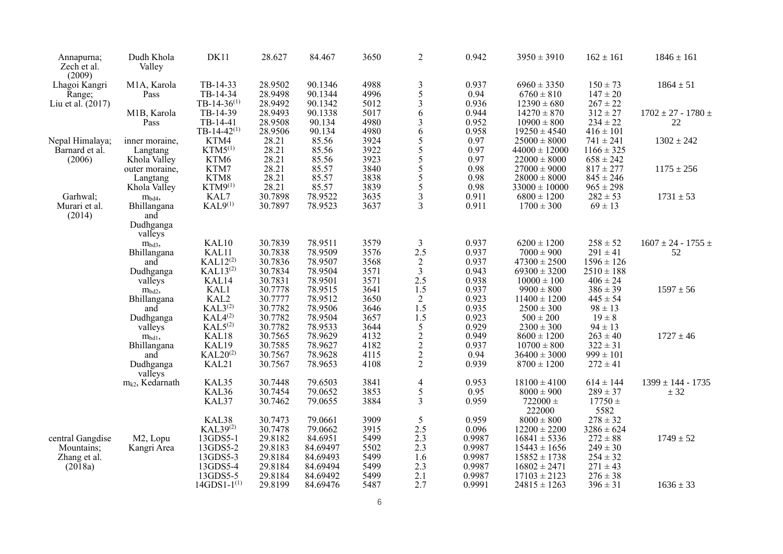| Annapurna;<br>Zech et al.<br>(2009) | Dudh Khola<br>Valley                | DK11                 | 28.627  | 84.467   | 3650 | $\overline{2}$                                    | 0.942  | $3950 \pm 3910$        | $162 \pm 161$       | $1846 \pm 161$                |
|-------------------------------------|-------------------------------------|----------------------|---------|----------|------|---------------------------------------------------|--------|------------------------|---------------------|-------------------------------|
| Lhagoi Kangri                       | M1A, Karola                         | TB-14-33             | 28.9502 | 90.1346  | 4988 | $\frac{3}{5}$                                     | 0.937  | $6960 \pm 3350$        | $150 \pm 73$        | $1864 \pm 51$                 |
| Range;                              | Pass                                | TB-14-34             | 28.9498 | 90.1344  | 4996 |                                                   | 0.94   | $6760 \pm 810$         | $147 \pm 20$        |                               |
| Liu et al. (2017)                   |                                     | TB-14-36 $(1)$       | 28.9492 | 90.1342  | 5012 | $\overline{\mathbf{3}}$                           | 0.936  | $12390 \pm 680$        | $267 \pm 22$        |                               |
|                                     | M1B, Karola                         | TB-14-39             | 28.9493 | 90.1338  | 5017 | 6                                                 | 0.944  | $14270 \pm 870$        | $312 \pm 27$        | $1702 \pm 27 - 1780 \pm 1792$ |
|                                     | Pass                                | TB-14-41             | 28.9508 | 90.134   | 4980 | 3                                                 | 0.952  | $10900 \pm 800$        | $234 \pm 22$        | $22\,$                        |
|                                     |                                     | TB-14-42 $(1)$       | 28.9506 | 90.134   | 4980 | 6                                                 | 0.958  | $19250 \pm 4540$       | $416 \pm 101$       |                               |
| Nepal Himalaya;                     | inner moraine,                      | KTM4                 | 28.21   | 85.56    | 3924 |                                                   | 0.97   | $25000 \pm 8000$       | $741 \pm 241$       | $1302 \pm 242$                |
| Barnard et al.                      | Langtang                            | $KTM5^{(1)}$         | 28.21   | 85.56    | 3922 | $rac{5}{5}$                                       | 0.97   | $44000 \pm 12000$      | $1166 \pm 325$      |                               |
| (2006)                              | Khola Valley                        | KTM6                 | 28.21   | 85.56    | 3923 |                                                   | 0.97   | $22000 \pm 8000$       | $658 \pm 242$       |                               |
|                                     | outer moraine,                      | KTM7                 | 28.21   | 85.57    | 3840 | $\frac{5}{5}$                                     | 0.98   | $27000 \pm 9000$       | $817 \pm 277$       | $1175 \pm 256$                |
|                                     | Langtang                            | KTM8                 | 28.21   | 85.57    | 3838 | 5                                                 | 0.98   | $28000 \pm 8000$       | $845 \pm 246$       |                               |
|                                     | Khola Valley                        | $KTM9^{(1)}$         | 28.21   | 85.57    | 3839 | 5                                                 | 0.98   | $33000 \pm 10000$      | $965 \pm 298$       |                               |
| Garhwal;                            |                                     | KAL7                 | 30.7898 | 78.9522  | 3635 | 3                                                 | 0.911  | $6800 \pm 1200$        | $282 \pm 53$        | $1731 \pm 53$                 |
| Murari et al.<br>(2014)             | $$\rm m_{bd4},$$ Bhillangana<br>and | $KAL9^{(1)}$         | 30.7897 | 78.9523  | 3637 | 3                                                 | 0.911  | $1700 \pm 300$         | $69 \pm 13$         |                               |
|                                     | Dudhganga<br>valleys                |                      |         |          |      |                                                   |        |                        |                     |                               |
|                                     | m <sub>bd3</sub> ,                  | KAL10                | 30.7839 | 78.9511  | 3579 | $\mathfrak{Z}$                                    | 0.937  | $6200 \pm 1200$        | $258 \pm 52$        | $1607 \pm 24 - 1755 \pm 120$  |
|                                     | Bhillangana                         | KAL11                | 30.7838 | 78.9509  | 3576 | 2.5                                               | 0.937  | $7000 \pm 900$         | $291 \pm 41$        | 52                            |
|                                     | and                                 | $KAL12^{(2)}$        | 30.7836 | 78.9507  | 3568 |                                                   | 0.937  | $47300 \pm 2500$       | $1596 \pm 126$      |                               |
|                                     | Dudhganga                           | $KAL13^{(2)}$        | 30.7834 | 78.9504  | 3571 | $\frac{2}{3}$                                     | 0.943  | $69300 \pm 3200$       | $2510 \pm 188$      |                               |
|                                     | valleys                             | KAL14                | 30.7831 | 78.9501  | 3571 | 2.5                                               | 0.938  | $10000 \pm 100$        | $406 \pm 24$        |                               |
|                                     | m <sub>bd2</sub> ,                  | KAL1                 | 30.7778 | 78.9515  | 3641 | 1.5                                               | 0.937  | $9900 \pm 800$         | $386 \pm 39$        | $1597 \pm 56$                 |
|                                     | Bhillangana                         | KAL2                 | 30.7777 | 78.9512  | 3650 | $\boldsymbol{2}$                                  | 0.923  | $11400 \pm 1200$       | $445 \pm 54$        |                               |
|                                     | and                                 | $KAL3^{(2)}$         | 30.7782 | 78.9506  | 3646 | 1.5                                               | 0.935  | $2500 \pm 300$         | $98 \pm 13$         |                               |
|                                     | Dudhganga                           | $KAL4^{(2)}$         | 30.7782 | 78.9504  | 3657 |                                                   | 0.923  | $500 \pm 200$          | $19 \pm 8$          |                               |
|                                     | valleys                             | KAL5 <sup>(2)</sup>  | 30.7782 | 78.9533  | 3644 | $\frac{1.5}{5}$<br>$\frac{2}{2}$<br>$\frac{2}{2}$ | 0.929  | $2300 \pm 300$         | $94 \pm 13$         |                               |
|                                     | $m_{bd1}$                           | KAL18                | 30.7565 | 78.9629  | 4132 |                                                   | 0.949  | $8600 \pm 1200$        | $263 \pm 40$        | $1727 \pm 46$                 |
|                                     | Bhillangana                         | KAL19                | 30.7585 | 78.9627  | 4182 |                                                   | 0.937  | $10700 \pm 800$        | $322 \pm 31$        |                               |
|                                     | and                                 | KAL20 <sup>(2)</sup> | 30.7567 | 78.9628  | 4115 |                                                   | 0.94   | $36400 \pm 3000$       | $999 \pm 101$       |                               |
|                                     | Dudhganga                           | KAL21                | 30.7567 | 78.9653  | 4108 |                                                   | 0.939  | $8700 \pm 1200$        | $272 \pm 41$        |                               |
|                                     | valleys                             |                      |         |          |      |                                                   |        |                        |                     |                               |
|                                     | $m_{k2}$ , Kedarnath                | KAL35                | 30.7448 | 79.6503  | 3841 | $\overline{4}$                                    | 0.953  | $18100 \pm 4100$       | $614 \pm 144$       | $1399 \pm 144 - 1735$         |
|                                     |                                     | KAL36                | 30.7454 | 79.0652  | 3853 | 5                                                 | 0.95   | $8000 \pm 900$         | $289 \pm 37$        | ± 32                          |
|                                     |                                     | KAL37                | 30.7462 | 79.0655  | 3884 | $\overline{3}$                                    | 0.959  | $722000 \pm$<br>222000 | $17750 \pm$<br>5582 |                               |
|                                     |                                     | KAL38                | 30.7473 | 79.0661  | 3909 | $\mathfrak{H}$                                    | 0.959  | $8000 \pm 800$         | $278 \pm 32$        |                               |
|                                     |                                     | KAL39 <sup>(2)</sup> | 30.7478 | 79.0662  | 3915 | 2.5                                               | 0.096  | $12200 \pm 2200$       | $3286 \pm 624$      |                               |
| central Gangdise                    | M2, Lopu                            | 13GDS5-1             | 29.8182 | 84.6951  | 5499 | 2.3                                               | 0.9987 | $16841 \pm 5336$       | $272 \pm 88$        | $1749 \pm 52$                 |
| Mountains;                          | Kangri Area                         | 13GDS5-2             | 29.8183 | 84.69497 | 5502 | 2.3                                               | 0.9987 | $15443 \pm 1656$       | $249 \pm 30$        |                               |
| Zhang et al.                        |                                     | 13GDS5-3             | 29.8184 | 84.69493 | 5499 | 1.6                                               | 0.9987 | $15852 \pm 1738$       | $254 \pm 32$        |                               |
| (2018a)                             |                                     | 13GDS5-4             | 29.8184 | 84.69494 | 5499 | 2.3                                               | 0.9987 | $16802 \pm 2471$       | $271 \pm 43$        |                               |
|                                     |                                     | 13GDS5-5             | 29.8184 | 84.69492 | 5499 | 2.1                                               | 0.9987 | $17103 \pm 2123$       | $276 \pm 38$        |                               |
|                                     |                                     | $14GDS1-1^{(1)}$     | 29.8199 | 84.69476 | 5487 | 2.7                                               | 0.9991 | $24815 \pm 1263$       | $396 \pm 31$        | $1636 \pm 33$                 |
|                                     |                                     |                      |         |          |      |                                                   |        |                        |                     |                               |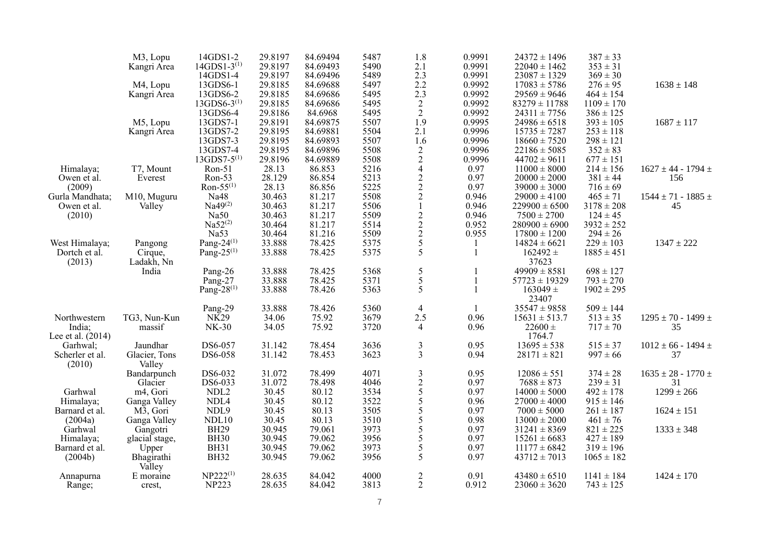|                   | M3, Lopu       | 14GDS1-2                   | 29.8197 | 84.69494 | 5487 | 1.8                                              | 0.9991 | $24372 \pm 1496$  | $387 \pm 33$   |                               |
|-------------------|----------------|----------------------------|---------|----------|------|--------------------------------------------------|--------|-------------------|----------------|-------------------------------|
|                   | Kangri Area    | $14GDS1-3^{(1)}$           | 29.8197 | 84.69493 | 5490 | 2.1                                              | 0.9991 | $22040 \pm 1462$  | $353 \pm 31$   |                               |
|                   |                | 14GDS1-4                   | 29.8197 | 84.69496 | 5489 | $2.3\,$                                          | 0.9991 | $23087 \pm 1329$  | $369 \pm 30$   |                               |
|                   | M4, Lopu       | 13GDS6-1                   | 29.8185 | 84.69688 | 5497 | 2.2                                              | 0.9992 | $17083 \pm 5786$  | $276 \pm 95$   | $1638 \pm 148$                |
|                   | Kangri Area    | 13GDS6-2                   | 29.8185 | 84.69686 | 5495 |                                                  | 0.9992 | $29569 \pm 9646$  | $464 \pm 154$  |                               |
|                   |                | $13GDS6-3^{(1)}$           | 29.8185 | 84.69686 | 5495 | $\begin{smallmatrix} 2.3 \\ 2 \end{smallmatrix}$ | 0.9992 | $83279 \pm 11788$ | $1109 \pm 170$ |                               |
|                   |                | 13GDS6-4                   | 29.8186 | 84.6968  | 5495 | $\sqrt{2}$                                       | 0.9992 | $24311 \pm 7756$  | $386 \pm 125$  |                               |
|                   |                | 13GDS7-1                   | 29.8191 | 84.69875 | 5507 | 1.9                                              | 0.9995 |                   | $393 \pm 105$  | $1687 \pm 117$                |
|                   | M5, Lopu       | 13GDS7-2                   | 29.8195 | 84.69881 | 5504 |                                                  | 0.9996 | $24986 \pm 6518$  | $253 \pm 118$  |                               |
|                   | Kangri Area    |                            |         |          |      | 2.1                                              |        | $15735 \pm 7287$  |                |                               |
|                   |                | 13GDS7-3                   | 29.8195 | 84.69893 | 5507 | 1.6                                              | 0.9996 | $18660 \pm 7520$  | $298 \pm 121$  |                               |
|                   |                | 13GDS7-4                   | 29.8195 | 84.69896 | 5508 | $\begin{array}{c} 2 \\ 2 \\ 4 \end{array}$       | 0.9996 | $22186 \pm 5085$  | $352 \pm 83$   |                               |
|                   |                | $13$ GDS7-5 <sup>(1)</sup> | 29.8196 | 84.69889 | 5508 |                                                  | 0.9996 | $44702 \pm 9611$  | $677 \pm 151$  |                               |
| Himalaya;         | T7, Mount      | Ron-51                     | 28.13   | 86.853   | 5216 |                                                  | 0.97   | $11000 \pm 8000$  | $214 \pm 156$  | $1627 \pm 44 - 1794 \pm$      |
| Owen et al.       | Everest        | $Ron-53$                   | 28.129  | 86.854   | 5213 |                                                  | 0.97   | $20000 \pm 2000$  | $381 \pm 44$   | 156                           |
| (2009)            |                | $Ron-55^{(1)}$             | 28.13   | 86.856   | 5225 |                                                  | 0.97   | $39000 \pm 3000$  | $716 \pm 69$   |                               |
| Gurla Mandhata;   | M10, Muguru    | Na48                       | 30.463  | 81.217   | 5508 | $\begin{array}{c} 2 \\ 2 \\ 2 \\ 1 \end{array}$  | 0.946  | $29000 \pm 4100$  | $465 \pm 71$   | $1544 \pm 71 - 1885 \pm$      |
| Owen et al.       | Valley         | Na49 <sup>(2)</sup>        | 30.463  | 81.217   | 5506 |                                                  | 0.946  | $229900 \pm 6500$ | $3178 \pm 208$ | 45                            |
| (2010)            |                | Na50                       | 30.463  | 81.217   | 5509 |                                                  | 0.946  | $7500 \pm 2700$   | $124 \pm 45$   |                               |
|                   |                | $Na52^{(2)}$               | 30.464  | 81.217   | 5514 |                                                  | 0.952  | $280900 \pm 6900$ | $3932 \pm 252$ |                               |
|                   |                | Na53                       | 30.464  | 81.216   | 5509 |                                                  | 0.955  | $17800 \pm 1200$  | $294 \pm 26$   |                               |
| West Himalaya;    | Pangong        | Pang- $24^{(1)}$           | 33.888  | 78.425   | 5375 | $\frac{2}{2}$<br>$\frac{2}{5}$<br>5              |        | $14824 \pm 6621$  | $229 \pm 103$  | $1347 \pm 222$                |
| Dortch et al.     | Cirque,        | Pang- $25^{(1)}$           | 33.888  | 78.425   | 5375 |                                                  | 1      | $162492 \pm$      | $1885 \pm 451$ |                               |
| (2013)            | Ladakh, Nn     |                            |         |          |      |                                                  |        | 37623             |                |                               |
|                   | India          | Pang-26                    | 33.888  | 78.425   | 5368 | $\sqrt{5}$                                       |        | $49909 \pm 8581$  | $698 \pm 127$  |                               |
|                   |                | Pang-27                    | 33.888  | 78.425   | 5371 | 5                                                | 1      | $57723 \pm 19329$ | $793 \pm 270$  |                               |
|                   |                | Pang- $28^{(1)}$           | 33.888  | 78.426   | 5363 | 5                                                | 1      | $163049 \pm$      | $1902 \pm 295$ |                               |
|                   |                |                            |         |          |      |                                                  |        | 23407             |                |                               |
|                   |                |                            | 33.888  | 78.426   | 5360 |                                                  |        | $35547 \pm 9858$  | $509 \pm 144$  |                               |
|                   |                | Pang-29                    |         |          |      | 4                                                | 1      |                   |                |                               |
| Northwestern      | TG3, Nun-Kun   | NK <sub>29</sub>           | 34.06   | 75.92    | 3679 | 2.5                                              | 0.96   | $15631 \pm 513.7$ | $513 \pm 35$   | $1295 \pm 70 - 1499 \pm 1499$ |
| India;            | massif         | <b>NK-30</b>               | 34.05   | 75.92    | 3720 | $\overline{4}$                                   | 0.96   | $22600 \pm$       | $717 \pm 70$   | 35                            |
| Lee et al. (2014) |                |                            |         |          |      |                                                  |        | 1764.7            |                |                               |
| Garhwal;          | Jaundhar       | DS6-057                    | 31.142  | 78.454   | 3636 | $\mathfrak{Z}$                                   | 0.95   | $13695 \pm 538$   | $515 \pm 37$   | $1012 \pm 66 - 1494 \pm 100$  |
| Scherler et al.   | Glacier, Tons  | DS6-058                    | 31.142  | 78.453   | 3623 | $\overline{3}$                                   | 0.94   | $28171 \pm 821$   | $997 \pm 66$   | 37                            |
| (2010)            | Valley         |                            |         |          |      |                                                  |        |                   |                |                               |
|                   | Bandarpunch    | DS6-032                    | 31.072  | 78.499   | 4071 | $\frac{3}{2}$ 5 5 5 5                            | 0.95   | $12086 \pm 551$   | $374 \pm 28$   | $1635 \pm 28 - 1770 \pm 163$  |
|                   | Glacier        | DS6-033                    | 31.072  | 78.498   | 4046 |                                                  | 0.97   | $7688 \pm 873$    | $239 \pm 31$   | 31                            |
| Garhwal           | m4, Gori       | NDL <sub>2</sub>           | 30.45   | 80.12    | 3534 |                                                  | 0.97   | $14000 \pm 5000$  | $492 \pm 178$  | $1299 \pm 266$                |
| Himalaya;         | Ganga Valley   | NDL4                       | 30.45   | 80.12    | 3522 |                                                  | 0.96   | $27000 \pm 4000$  | $915 \pm 146$  |                               |
| Barnard et al.    | M3, Gori       | NDL9                       | 30.45   | 80.13    | 3505 |                                                  | 0.97   | $7000 \pm 5000$   | $261 \pm 187$  | $1624 \pm 151$                |
| (2004a)           | Ganga Valley   | NDL10                      | 30.45   | 80.13    | 3510 | 5                                                | 0.98   | $13000 \pm 2000$  | $461 \pm 76$   |                               |
| Garhwal           | Gangotri       | <b>BH29</b>                | 30.945  | 79.061   | 3973 | $rac{5}{5}$                                      | 0.97   | $31241 \pm 8369$  | $821 \pm 225$  | $1333 \pm 348$                |
| Himalaya;         | glacial stage, | <b>BH30</b>                | 30.945  | 79.062   | 3956 |                                                  | 0.97   | $15261 \pm 6683$  | $427 \pm 189$  |                               |
| Barnard et al.    | Upper          | <b>BH31</b>                | 30.945  | 79.062   | 3973 | 5                                                | 0.97   | $11177 \pm 6842$  | $319 \pm 196$  |                               |
| (2004b)           | Bhagirathi     | <b>BH32</b>                | 30.945  | 79.062   | 3956 | 5                                                | 0.97   | $43712 \pm 7013$  | $1065 \pm 182$ |                               |
|                   | Valley         |                            |         |          |      |                                                  |        |                   |                |                               |
| Annapurna         | E moraine      | $NP222^{(1)}$              | 28.635  | 84.042   | 4000 |                                                  | 0.91   | $43480 \pm 6510$  | $1141 \pm 184$ | $1424 \pm 170$                |
| Range;            | crest,         | <b>NP223</b>               | 28.635  | 84.042   | 3813 | $\frac{2}{2}$                                    | 0.912  | $23060 \pm 3620$  | $743 \pm 125$  |                               |
|                   |                |                            |         |          |      |                                                  |        |                   |                |                               |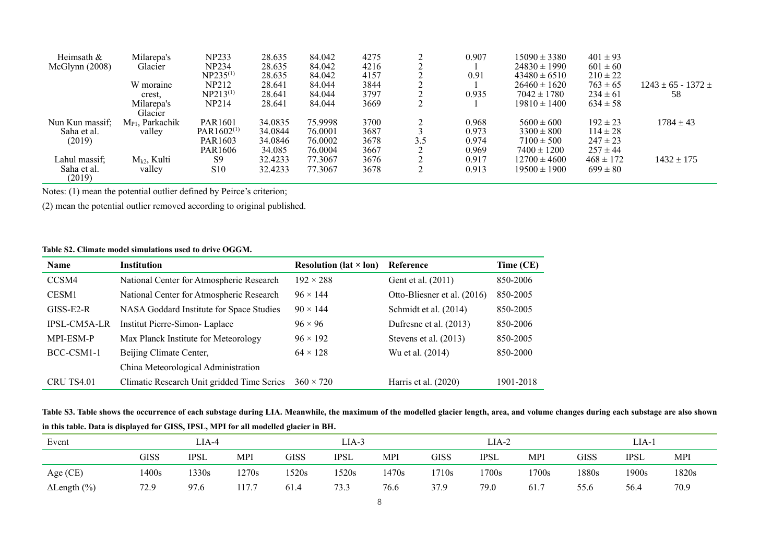| Heimsath &      | Milarepa's           | <b>NP233</b>        | 28.635  | 84.042  | 4275 |     | 0.907 | $15090 \pm 3380$ | $401 \pm 93$  |                          |
|-----------------|----------------------|---------------------|---------|---------|------|-----|-------|------------------|---------------|--------------------------|
| McGlynn (2008)  | Glacier              | <b>NP234</b>        | 28.635  | 84.042  | 4216 |     |       | $24830 \pm 1990$ | $601 \pm 60$  |                          |
|                 |                      | $NP235^{(1)}$       | 28.635  | 84.042  | 4157 |     | 0.91  | $43480 \pm 6510$ | $210 \pm 22$  |                          |
|                 | W moraine            | NP212               | 28.641  | 84.044  | 3844 |     |       | $26460 \pm 1620$ | $763 \pm 65$  | $1243 \pm 65 - 1372 \pm$ |
|                 | crest,               | $NP213^{(1)}$       | 28.641  | 84.044  | 3797 |     | 0.935 | $7042 \pm 1780$  | $234 \pm 61$  | -58                      |
|                 | Milarepa's           | <b>NP214</b>        | 28.641  | 84.044  | 3669 |     |       | $19810 \pm 1400$ | $634 \pm 58$  |                          |
|                 | Glacier              |                     |         |         |      |     |       |                  |               |                          |
| Nun Kun massif; | $M_{P1}$ , Parkachik | PAR <sub>1601</sub> | 34.0835 | 75.9998 | 3700 |     | 0.968 | $5600 \pm 600$   | $192 \pm 23$  | $1784 \pm 43$            |
| Saha et al.     | valley               | $PAR1602^{(1)}$     | 34.0844 | 76.0001 | 3687 |     | 0.973 | $3300 \pm 800$   | $114 \pm 28$  |                          |
| (2019)          |                      | PAR <sub>1603</sub> | 34.0846 | 76.0002 | 3678 | 3.5 | 0.974 | $7100 \pm 500$   | $247 \pm 23$  |                          |
|                 |                      | PAR <sub>1606</sub> | 34.085  | 76.0004 | 3667 |     | 0.969 | $7400 \pm 1200$  | $257 \pm 44$  |                          |
| Lahul massif;   | $M_{k2}$ , Kulti     | S <sub>9</sub>      | 32.4233 | 77.3067 | 3676 |     | 0.917 | $12700 \pm 4600$ | $468 \pm 172$ | $1432 \pm 175$           |
| Saha et al.     | valley               | S <sub>10</sub>     | 32.4233 | 77.3067 | 3678 |     | 0.913 | $19500 \pm 1900$ | $699 \pm 80$  |                          |
| (2019)          |                      |                     |         |         |      |     |       |                  |               |                          |

Notes: (1) mean the potential outlier defined by Peirce's criterion;

(2) mean the potential outlier removed according to original published.

## **Table S2. Climate model simulations used to drive OGGM.**

| <b>Name</b>         | <b>Institution</b>                         | <b>Resolution (lat <math>\times</math> lon)</b> | Reference                   | Time (CE) |
|---------------------|--------------------------------------------|-------------------------------------------------|-----------------------------|-----------|
| CCSM4               | National Center for Atmospheric Research   | $192 \times 288$                                | Gent et al. (2011)          | 850-2006  |
| CESM1               | National Center for Atmospheric Research   | $96 \times 144$                                 | Otto-Bliesner et al. (2016) | 850-2005  |
| $GISS-E2-R$         | NASA Goddard Institute for Space Studies   | $90 \times 144$                                 | Schmidt et al. (2014)       | 850-2005  |
| <b>IPSL-CM5A-LR</b> | Institut Pierre-Simon- Laplace             | $96 \times 96$                                  | Dufresne et al. (2013)      | 850-2006  |
| MPI-ESM-P           | Max Planck Institute for Meteorology       | $96 \times 192$                                 | Stevens et al. (2013)       | 850-2005  |
| BCC-CSM1-1          | Beijing Climate Center,                    | $64 \times 128$                                 | Wu et al. (2014)            | 850-2000  |
|                     | China Meteorological Administration        |                                                 |                             |           |
| CRU TS4.01          | Climatic Research Unit gridded Time Series | $360 \times 720$                                | Harris et al. $(2020)$      | 1901-2018 |

**Table S3. Table shows the occurrence of each substage during LIA. Meanwhile, the maximum of the modelled glacier length, area, and volume changes during each substage are also shown in this table. Data is displayed for GISS, IPSL, MPI for all modelled glacier in BH.**

| Event               |       | LIA-4 |               |       | LIA-3 |            |       | LIA-2       |       |       | LIA-1       |       |
|---------------------|-------|-------|---------------|-------|-------|------------|-------|-------------|-------|-------|-------------|-------|
|                     | GISS  | IPSL  | MPI           | GISS  | IPSL  | <b>MPI</b> | GISS  | <b>IPSL</b> | MPI   | GISS  | <b>IPSL</b> | MPI   |
| Age (CE)            | 1400s | 1330s | 1270s         | 1520s | 520s  | 1470s      | 1710s | 1700s       | 1700s | 1880s | 1900s       | 1820s |
| $\Delta$ Length (%) | 72.9  | 97.6  | 1777<br>11/./ | 61.4  | 73.3  | 76.6       | 37.9  | 79.0        | 61.7  | 55.6  | 56.4        | 70.9  |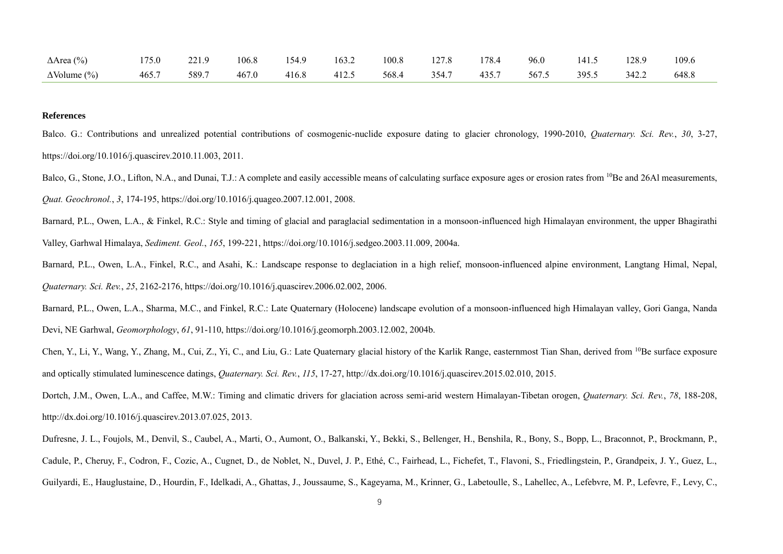| $\Delta$ Area (%)   | 175.0 | 221.9 | 106.8 | 154.9       | 163.2 | 100.8       | 127.8 | 178.4 | 96.0  | 141.5 | 128.9 | 109.6 |
|---------------------|-------|-------|-------|-------------|-------|-------------|-------|-------|-------|-------|-------|-------|
| $\Delta$ Volume (%) | 465.7 | 589.7 | 467.0 | 416.8 412.5 |       | 568.4 354.7 |       | 435.7 | 567.5 | 395.5 | 342.2 | 648.8 |

## **References**

Balco. G.: Contributions and unrealized potential contributions of cosmogenic-nuclide exposure dating to glacier chronology, 1990-2010, *Quaternary. Sci. Rev.*, *30*, 3-27, [https://doi.org/10.1016/j.quascirev.2010.11.003,](https://doi.org/10.1016/j.quascirev.2010.11.003) 2011.

Balco, G., Stone, J.O., Lifton, N.A., and Dunai, T.J.: A complete and easily accessible means of calculating surface exposure ages or erosion rates from <sup>10</sup>Be and 26Al measurements, *Quat. Geochronol.*, *3*, 174-195[, https://doi.org/10.1016/j.quageo.2007.12.001,](https://doi.org/10.1016/j.quageo.2007.12.001) 2008.

Barnard, P.L., Owen, L.A., & Finkel, R.C.: Style and timing of glacial and paraglacial sedimentation in a monsoon-influenced high Himalayan environment, the upper Bhagirathi Valley, Garhwal Himalaya, *Sediment. Geol.*, *165*, 199-221, [https://doi.org/10.1016/j.sedgeo.2003.11.009,](https://doi.org/10.1016/j.sedgeo.2003.11.009) 2004a.

Barnard, P.L., Owen, L.A., Finkel, R.C., and Asahi, K.: Landscape response to deglaciation in a high relief, monsoon-influenced alpine environment, Langtang Himal, Nepal, *Quaternary. Sci. Rev.*, *25*, 2162-2176[, https://doi.org/10.1016/j.quascirev.2006.02.002,](https://doi.org/10.1016/j.quascirev.2006.02.002) 2006.

Barnard, P.L., Owen, L.A., Sharma, M.C., and Finkel, R.C.: Late Quaternary (Holocene) landscape evolution of a monsoon-influenced high Himalayan valley, Gori Ganga, Nanda Devi, NE Garhwal, *Geomorphology*, *61*, 91-110, [https://doi.org/10.1016/j.geomorph.2003.12.002,](https://doi.org/10.1016/j.geomorph.2003.12.002) 2004b.

Chen, Y., Li, Y., Wang, Y., Zhang, M., Cui, Z., Yi, C., and Liu, G.: Late Quaternary glacial history of the Karlik Range, easternmost Tian Shan, derived from <sup>10</sup>Be surface exposure and optically stimulated luminescence datings, *Quaternary. Sci. Rev.*, *115*, 17-27, [http://dx.doi.org/10.1016/j.quascirev.2015.02.010,](http://dx.doi.org/10.1016/j.quascirev.2015.02.010) 2015.

Dortch, J.M., Owen, L.A., and Caffee, M.W.: Timing and climatic drivers for glaciation across semi-arid western Himalayan-Tibetan orogen, *Quaternary. Sci. Rev.*, *78*, 188-208, [http://dx.doi.org/10.1016/j.quascirev.2013.07.025,](http://dx.doi.org/10.1016/j.quascirev.2013.07.025) 2013.

Dufresne, J. L., Foujols, M., Denvil, S., Caubel, A., Marti, O., Aumont, O., Balkanski, Y., Bekki, S., Bellenger, H., Benshila, R., Bony, S., Bopp, L., Braconnot, P., Brockmann, P., Cadule, P., Cheruy, F., Codron, F., Cozic, A., Cugnet, D., de Noblet, N., Duvel, J. P., Ethé, C., Fairhead, L., Fichefet, T., Flavoni, S., Friedlingstein, P., Grandpeix, J. Y., Guez, L., Guilyardi, E., Hauglustaine, D., Hourdin, F., Idelkadi, A., Ghattas, J., Joussaume, S., Kageyama, M., Krinner, G., Labetoulle, S., Lahellec, A., Lefebvre, M. P., Lefevre, F., Levy, C.,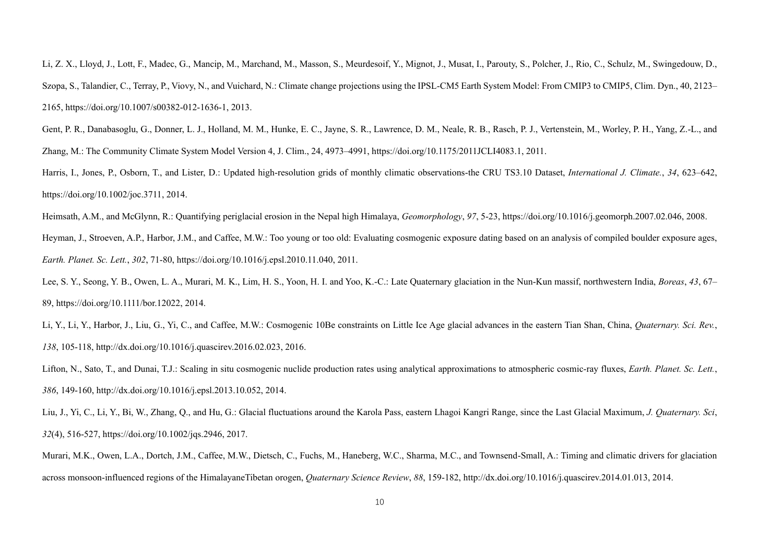Li, Z. X., Lloyd, J., Lott, F., Madec, G., Mancip, M., Marchand, M., Masson, S., Meurdesoif, Y., Mignot, J., Musat, I., Parouty, S., Polcher, J., Rio, C., Schulz, M., Swingedouw, D., Szopa, S., Talandier, C., Terray, P., Viovy, N., and Vuichard, N.: Climate change projections using the IPSL-CM5 Earth System Model: From CMIP3 to CMIP5, Clim. Dyn., 40, 2123– 2165, [https://doi.org/10.1007/s00382-012-1636-1,](https://doi.org/10.1007/s00382-012-1636-1) 2013.

Gent, P. R., Danabasoglu, G., Donner, L. J., Holland, M. M., Hunke, E. C., Jayne, S. R., Lawrence, D. M., Neale, R. B., Rasch, P. J., Vertenstein, M., Worley, P. H., Yang, Z.-L., and Zhang, M.: The Community Climate System Model Version 4, J. Clim., 24, 4973–4991, https://doi.org/10.1175/2011JCLI4083.1, 2011.

Harris, I., Jones, P., Osborn, T., and Lister, D.: Updated high-resolution grids of monthly climatic observations-the CRU TS3.10 Dataset, *International J. Climate.*, *34*, 623–642, [https://doi.org/10.1002/joc.3711,](https://doi.org/10.1002/joc.3711) 2014.

Heimsath, A.M., and McGlynn, R.: Quantifying periglacial erosion in the Nepal high Himalaya, *Geomorphology*, *97*, 5-23, [https://doi.org/10.1016/j.geomorph.2007.02.046,](https://doi.org/10.1016/j.geomorph.2007.02.046) 2008. Heyman, J., Stroeven, A.P., Harbor, J.M., and Caffee, M.W.: Too young or too old: Evaluating cosmogenic exposure dating based on an analysis of compiled boulder exposure ages, *Earth. Planet. Sc. Lett.*, *302*, 71-80, [https://doi.org/10.1016/j.epsl.2010.11.040,](https://doi.org/10.1016/j.epsl.2010.11.040) 2011.

Lee, S. Y., Seong, Y. B., Owen, L. A., Murari, M. K., Lim, H. S., Yoon, H. I. and Yoo, K.-C.: Late Quaternary glaciation in the Nun-Kun massif, northwestern India, *Boreas*, *43*, 67– 89, [https://doi.org/10.1111/bor.12022,](https://doi.org/10.1111/bor.12022) 2014.

Li, Y., Li, Y., Harbor, J., Liu, G., Yi, C., and Caffee, M.W.: Cosmogenic 10Be constraints on Little Ice Age glacial advances in the eastern Tian Shan, China, *Quaternary. Sci. Rev.*, *138*, 105-118, [http://dx.doi.org/10.1016/j.quascirev.2016.02.023,](http://dx.doi.org/10.1016/j.quascirev.2016.02.023) 2016.

Lifton, N., Sato, T., and Dunai, T.J.: Scaling in situ cosmogenic nuclide production rates using analytical approximations to atmospheric cosmic-ray fluxes, *Earth. Planet. Sc. Lett.*, *386*, 149-160[, http://dx.doi.org/10.1016/j.epsl.2013.10.052,](http://dx.doi.org/10.1016/j.epsl.2013.10.052) 2014.

Liu, J., Yi, C., Li, Y., Bi, W., Zhang, Q., and Hu, G.: Glacial fluctuations around the Karola Pass, eastern Lhagoi Kangri Range, since the Last Glacial Maximum, *J. Quaternary. Sci*, *32*(4), 516-527, [https://doi.org/10.1002/jqs.2946,](https://doi.org/10.1002/jqs.2946) 2017.

Murari, M.K., Owen, L.A., Dortch, J.M., Caffee, M.W., Dietsch, C., Fuchs, M., Haneberg, W.C., Sharma, M.C., and Townsend-Small, A.: Timing and climatic drivers for glaciation across monsoon-influenced regions of the HimalayaneTibetan orogen, *Quaternary Science Review*, *88*, 159-182, [http://dx.doi.org/10.1016/j.quascirev.2014.01.013,](http://dx.doi.org/10.1016/j.quascirev.2014.01.013) 2014.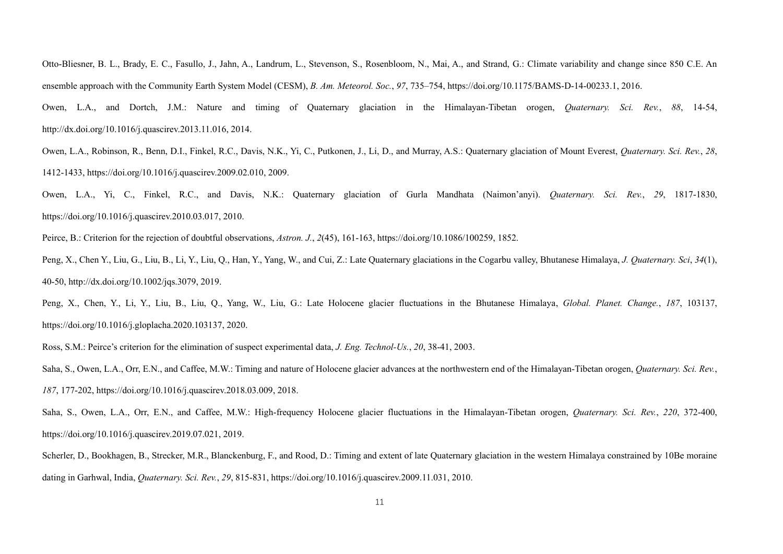Otto-Bliesner, B. L., Brady, E. C., Fasullo, J., Jahn, A., Landrum, L., Stevenson, S., Rosenbloom, N., Mai, A., and Strand, G.: Climate variability and change since 850 C.E. An ensemble approach with the Community Earth System Model (CESM), *B. Am. Meteorol. Soc.*, *97*, 735–754, [https://doi.org/10.1175/BAMS-D-14-00233.1,](https://doi.org/10.1175/BAMS-D-14-00233.1) 2016. Owen, L.A., and Dortch, J.M.: Nature and timing of Quaternary glaciation in the Himalayan-Tibetan orogen, *Quaternary. Sci. Rev.*, *88*, 14-54,

[http://dx.doi.org/10.1016/j.quascirev.2013.11.016,](http://dx.doi.org/10.1016/j.quascirev.2013.11.016) 2014.

Owen, L.A., Robinson, R., Benn, D.I., Finkel, R.C., Davis, N.K., Yi, C., Putkonen, J., Li, D., and Murray, A.S.: Quaternary glaciation of Mount Everest, *Quaternary. Sci. Rev.*, *28*, 1412-1433[, https://doi.org/10.1016/j.quascirev.2009.02.010,](https://doi.org/10.1016/j.quascirev.2009.02.010) 2009.

Owen, L.A., Yi, C., Finkel, R.C., and Davis, N.K.: Quaternary glaciation of Gurla Mandhata (Naimon'anyi). *Quaternary. Sci. Rev.*, *29*, 1817-1830, [https://doi.org/10.1016/j.quascirev.2010.03.017,](https://doi.org/10.1016/j.quascirev.2010.03.017) 2010.

Peirce, B.: Criterion for the rejection of doubtful observations, *Astron. J.*, *2*(45), 161-163[, https://doi.org/10.1086/100259,](https://doi.org/10.1086/100259) 1852.

Peng, X., Chen Y., Liu, G., Liu, B., Li, Y., Liu, Q., Han, Y., Yang, W., and Cui, Z.: Late Quaternary glaciations in the Cogarbu valley, Bhutanese Himalaya, *J. Quaternary. Sci*, *34*(1), 40-50[, http://dx.doi.org/10.1002/jqs.3079,](http://dx.doi.org/10.1002/jqs.3079) 2019.

Peng, X., Chen, Y., Li, Y., Liu, B., Liu, Q., Yang, W., Liu, G.: Late Holocene glacier fluctuations in the Bhutanese Himalaya, *Global. Planet. Change.*, *187*, 103137, [https://doi.org/10.1016/j.gloplacha.2020.103137,](https://doi.org/10.1016/j.gloplacha.2020.103137) 2020.

Ross, S.M.: Peirce's criterion for the elimination of suspect experimental data, *J. Eng. Technol-Us.*, *20*, 38-41, 2003.

Saha, S., Owen, L.A., Orr, E.N., and Caffee, M.W.: Timing and nature of Holocene glacier advances at the northwestern end of the Himalayan-Tibetan orogen, *Quaternary. Sci. Rev.*, *187*, 177-202[, https://doi.org/10.1016/j.quascirev.2018.03.009,](https://doi.org/10.1016/j.quascirev.2018.03.009) 2018.

Saha, S., Owen, L.A., Orr, E.N., and Caffee, M.W.: High-frequency Holocene glacier fluctuations in the Himalayan-Tibetan orogen, *Quaternary. Sci. Rev.*, *220*, 372-400, [https://doi.org/10.1016/j.quascirev.2019.07.021,](https://doi.org/10.1016/j.quascirev.2019.07.021) 2019.

Scherler, D., Bookhagen, B., Strecker, M.R., Blanckenburg, F., and Rood, D.: Timing and extent of late Quaternary glaciation in the western Himalaya constrained by 10Be moraine dating in Garhwal, India, *Quaternary. Sci. Rev.*, *29*, 815-831[, https://doi.org/10.1016/j.quascirev.2009.11.031,](https://doi.org/10.1016/j.quascirev.2009.11.031) 2010.